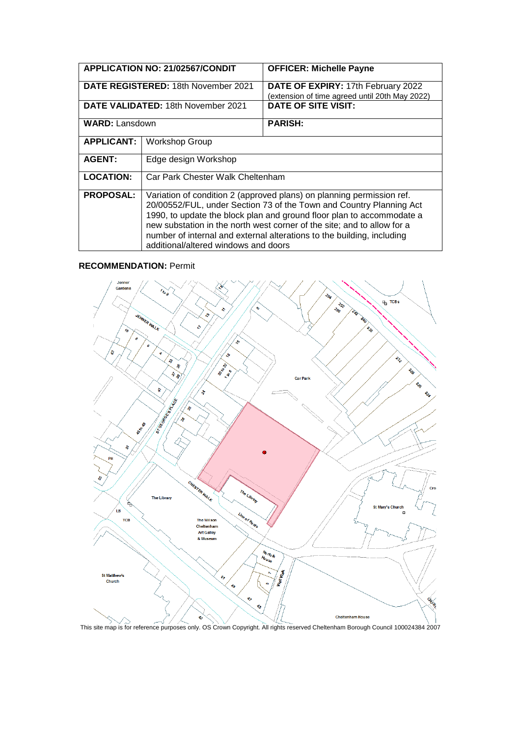| <b>APPLICATION NO: 21/02567/CONDIT</b>     |                                                                                                                                                                                                                                                                                                                                                                                                                    | <b>OFFICER: Michelle Payne</b>                                                       |
|--------------------------------------------|--------------------------------------------------------------------------------------------------------------------------------------------------------------------------------------------------------------------------------------------------------------------------------------------------------------------------------------------------------------------------------------------------------------------|--------------------------------------------------------------------------------------|
| <b>DATE REGISTERED: 18th November 2021</b> |                                                                                                                                                                                                                                                                                                                                                                                                                    | DATE OF EXPIRY: 17th February 2022<br>(extension of time agreed until 20th May 2022) |
| DATE VALIDATED: 18th November 2021         |                                                                                                                                                                                                                                                                                                                                                                                                                    | <b>DATE OF SITE VISIT:</b>                                                           |
| <b>WARD: Lansdown</b>                      |                                                                                                                                                                                                                                                                                                                                                                                                                    | <b>PARISH:</b>                                                                       |
| <b>APPLICANT:</b>                          | <b>Workshop Group</b>                                                                                                                                                                                                                                                                                                                                                                                              |                                                                                      |
| <b>AGENT:</b>                              | Edge design Workshop                                                                                                                                                                                                                                                                                                                                                                                               |                                                                                      |
| <b>LOCATION:</b>                           | Car Park Chester Walk Cheltenham                                                                                                                                                                                                                                                                                                                                                                                   |                                                                                      |
| <b>PROPOSAL:</b>                           | Variation of condition 2 (approved plans) on planning permission ref.<br>20/00552/FUL, under Section 73 of the Town and Country Planning Act<br>1990, to update the block plan and ground floor plan to accommodate a<br>new substation in the north west corner of the site; and to allow for a<br>number of internal and external alterations to the building, including<br>additional/altered windows and doors |                                                                                      |

#### **RECOMMENDATION:** Permit



This site map is for reference purposes only. OS Crown Copyright. All rights reserved Cheltenham Borough Council 100024384 2007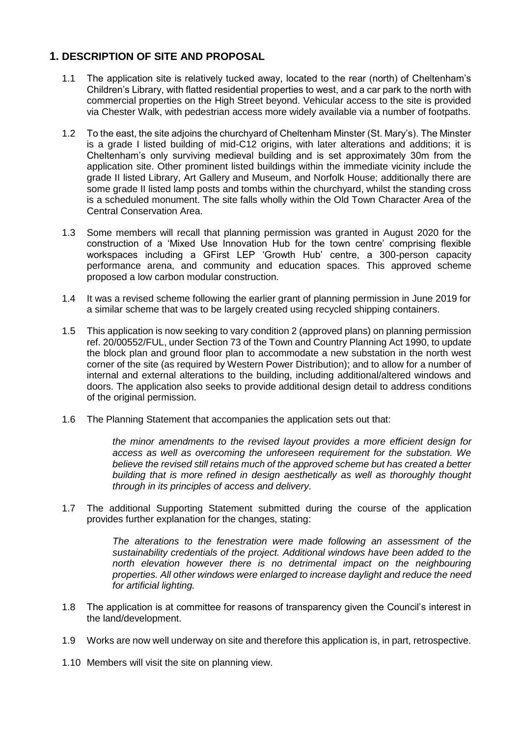# **1. DESCRIPTION OF SITE AND PROPOSAL**

- 1.1 The application site is relatively tucked away, located to the rear (north) of Cheltenham's Children's Library, with flatted residential properties to west, and a car park to the north with commercial properties on the High Street beyond. Vehicular access to the site is provided via Chester Walk, with pedestrian access more widely available via a number of footpaths.
- 1.2 To the east, the site adjoins the churchyard of Cheltenham Minster (St. Mary's). The Minster is a grade I listed building of mid-C12 origins, with later alterations and additions; it is Cheltenham's only surviving medieval building and is set approximately 30m from the application site. Other prominent listed buildings within the immediate vicinity include the grade II listed Library, Art Gallery and Museum, and Norfolk House; additionally there are some grade II listed lamp posts and tombs within the churchyard, whilst the standing cross is a scheduled monument. The site falls wholly within the Old Town Character Area of the Central Conservation Area.
- 1.3 Some members will recall that planning permission was granted in August 2020 for the construction of a 'Mixed Use Innovation Hub for the town centre' comprising flexible workspaces including a GFirst LEP 'Growth Hub' centre, a 300-person capacity performance arena, and community and education spaces. This approved scheme proposed a low carbon modular construction.
- 1.4 It was a revised scheme following the earlier grant of planning permission in June 2019 for a similar scheme that was to be largely created using recycled shipping containers.
- 1.5 This application is now seeking to vary condition 2 (approved plans) on planning permission ref. 20/00552/FUL, under Section 73 of the Town and Country Planning Act 1990, to update the block plan and ground floor plan to accommodate a new substation in the north west corner of the site (as required by Western Power Distribution); and to allow for a number of internal and external alterations to the building, including additional/altered windows and doors. The application also seeks to provide additional design detail to address conditions of the original permission.
- 1.6 The Planning Statement that accompanies the application sets out that:

*the minor amendments to the revised layout provides a more efficient design for access as well as overcoming the unforeseen requirement for the substation. We believe the revised still retains much of the approved scheme but has created a better building that is more refined in design aesthetically as well as thoroughly thought through in its principles of access and delivery.*

1.7 The additional Supporting Statement submitted during the course of the application provides further explanation for the changes, stating:

> *The alterations to the fenestration were made following an assessment of the sustainability credentials of the project. Additional windows have been added to the*  north elevation however there is no detrimental impact on the neighbouring *properties. All other windows were enlarged to increase daylight and reduce the need for artificial lighting.*

- 1.8 The application is at committee for reasons of transparency given the Council's interest in the land/development.
- 1.9 Works are now well underway on site and therefore this application is, in part, retrospective.
- 1.10 Members will visit the site on planning view.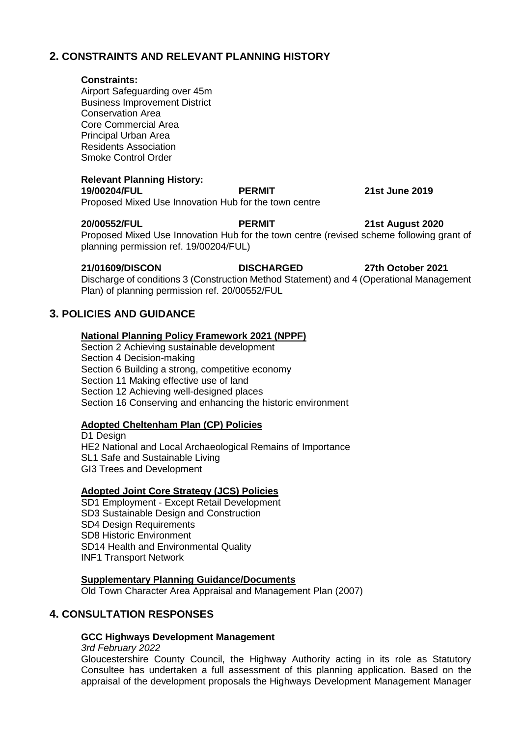## **2. CONSTRAINTS AND RELEVANT PLANNING HISTORY**

#### **Constraints:**

Airport Safeguarding over 45m Business Improvement District Conservation Area Core Commercial Area Principal Urban Area Residents Association Smoke Control Order

### **Relevant Planning History:**

**19/00204/FUL PERMIT 21st June 2019**  Proposed Mixed Use Innovation Hub for the town centre

**20/00552/FUL PERMIT 21st August 2020**  Proposed Mixed Use Innovation Hub for the town centre (revised scheme following grant of planning permission ref. 19/00204/FUL)

#### **21/01609/DISCON DISCHARGED 27th October 2021**  Discharge of conditions 3 (Construction Method Statement) and 4 (Operational Management Plan) of planning permission ref. 20/00552/FUL

## **3. POLICIES AND GUIDANCE**

### **National Planning Policy Framework 2021 (NPPF)**

Section 2 Achieving sustainable development Section 4 Decision-making Section 6 Building a strong, competitive economy Section 11 Making effective use of land Section 12 Achieving well-designed places Section 16 Conserving and enhancing the historic environment

### **Adopted Cheltenham Plan (CP) Policies**

D1 Design HE2 National and Local Archaeological Remains of Importance SL1 Safe and Sustainable Living GI3 Trees and Development

### **Adopted Joint Core Strategy (JCS) Policies**

SD1 Employment - Except Retail Development SD3 Sustainable Design and Construction SD4 Design Requirements SD8 Historic Environment SD14 Health and Environmental Quality INF1 Transport Network

### **Supplementary Planning Guidance/Documents**

Old Town Character Area Appraisal and Management Plan (2007)

## **4. CONSULTATION RESPONSES**

### **GCC Highways Development Management**

*3rd February 2022*

Gloucestershire County Council, the Highway Authority acting in its role as Statutory Consultee has undertaken a full assessment of this planning application. Based on the appraisal of the development proposals the Highways Development Management Manager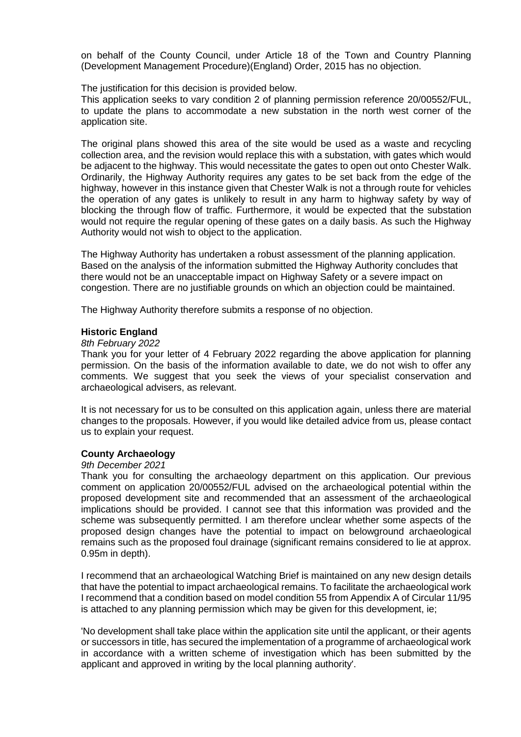on behalf of the County Council, under Article 18 of the Town and Country Planning (Development Management Procedure)(England) Order, 2015 has no objection.

The justification for this decision is provided below.

This application seeks to vary condition 2 of planning permission reference 20/00552/FUL, to update the plans to accommodate a new substation in the north west corner of the application site.

The original plans showed this area of the site would be used as a waste and recycling collection area, and the revision would replace this with a substation, with gates which would be adjacent to the highway. This would necessitate the gates to open out onto Chester Walk. Ordinarily, the Highway Authority requires any gates to be set back from the edge of the highway, however in this instance given that Chester Walk is not a through route for vehicles the operation of any gates is unlikely to result in any harm to highway safety by way of blocking the through flow of traffic. Furthermore, it would be expected that the substation would not require the regular opening of these gates on a daily basis. As such the Highway Authority would not wish to object to the application.

The Highway Authority has undertaken a robust assessment of the planning application. Based on the analysis of the information submitted the Highway Authority concludes that there would not be an unacceptable impact on Highway Safety or a severe impact on congestion. There are no justifiable grounds on which an objection could be maintained.

The Highway Authority therefore submits a response of no objection.

#### **Historic England**

#### *8th February 2022*

Thank you for your letter of 4 February 2022 regarding the above application for planning permission. On the basis of the information available to date, we do not wish to offer any comments. We suggest that you seek the views of your specialist conservation and archaeological advisers, as relevant.

It is not necessary for us to be consulted on this application again, unless there are material changes to the proposals. However, if you would like detailed advice from us, please contact us to explain your request.

### **County Archaeology**

#### *9th December 2021*

Thank you for consulting the archaeology department on this application. Our previous comment on application 20/00552/FUL advised on the archaeological potential within the proposed development site and recommended that an assessment of the archaeological implications should be provided. I cannot see that this information was provided and the scheme was subsequently permitted. I am therefore unclear whether some aspects of the proposed design changes have the potential to impact on belowground archaeological remains such as the proposed foul drainage (significant remains considered to lie at approx. 0.95m in depth).

I recommend that an archaeological Watching Brief is maintained on any new design details that have the potential to impact archaeological remains. To facilitate the archaeological work I recommend that a condition based on model condition 55 from Appendix A of Circular 11/95 is attached to any planning permission which may be given for this development, ie;

'No development shall take place within the application site until the applicant, or their agents or successors in title, has secured the implementation of a programme of archaeological work in accordance with a written scheme of investigation which has been submitted by the applicant and approved in writing by the local planning authority'.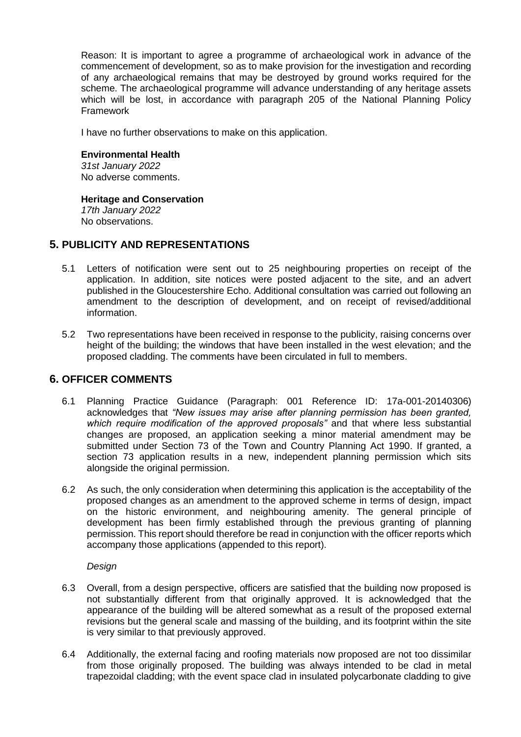Reason: It is important to agree a programme of archaeological work in advance of the commencement of development, so as to make provision for the investigation and recording of any archaeological remains that may be destroyed by ground works required for the scheme. The archaeological programme will advance understanding of any heritage assets which will be lost, in accordance with paragraph 205 of the National Planning Policy Framework

I have no further observations to make on this application.

#### **Environmental Health**

*31st January 2022* No adverse comments.

#### **Heritage and Conservation**

*17th January 2022* No observations.

## **5. PUBLICITY AND REPRESENTATIONS**

- 5.1 Letters of notification were sent out to 25 neighbouring properties on receipt of the application. In addition, site notices were posted adjacent to the site, and an advert published in the Gloucestershire Echo. Additional consultation was carried out following an amendment to the description of development, and on receipt of revised/additional information.
- 5.2 Two representations have been received in response to the publicity, raising concerns over height of the building; the windows that have been installed in the west elevation; and the proposed cladding. The comments have been circulated in full to members.

## **6. OFFICER COMMENTS**

- 6.1 Planning Practice Guidance (Paragraph: 001 Reference ID: 17a-001-20140306) acknowledges that *"New issues may arise after planning permission has been granted, which require modification of the approved proposals"* and that where less substantial changes are proposed, an application seeking a minor material amendment may be submitted under Section 73 of the Town and Country Planning Act 1990. If granted, a section 73 application results in a new, independent planning permission which sits alongside the original permission.
- 6.2 As such, the only consideration when determining this application is the acceptability of the proposed changes as an amendment to the approved scheme in terms of design, impact on the historic environment, and neighbouring amenity. The general principle of development has been firmly established through the previous granting of planning permission. This report should therefore be read in conjunction with the officer reports which accompany those applications (appended to this report).

### *Design*

- 6.3 Overall, from a design perspective, officers are satisfied that the building now proposed is not substantially different from that originally approved. It is acknowledged that the appearance of the building will be altered somewhat as a result of the proposed external revisions but the general scale and massing of the building, and its footprint within the site is very similar to that previously approved.
- 6.4 Additionally, the external facing and roofing materials now proposed are not too dissimilar from those originally proposed. The building was always intended to be clad in metal trapezoidal cladding; with the event space clad in insulated polycarbonate cladding to give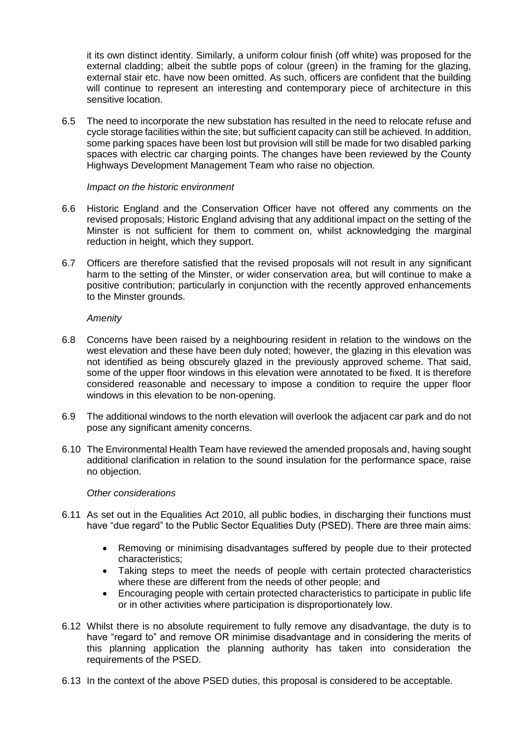it its own distinct identity. Similarly, a uniform colour finish (off white) was proposed for the external cladding; albeit the subtle pops of colour (green) in the framing for the glazing, external stair etc. have now been omitted. As such, officers are confident that the building will continue to represent an interesting and contemporary piece of architecture in this sensitive location.

6.5 The need to incorporate the new substation has resulted in the need to relocate refuse and cycle storage facilities within the site; but sufficient capacity can still be achieved. In addition, some parking spaces have been lost but provision will still be made for two disabled parking spaces with electric car charging points. The changes have been reviewed by the County Highways Development Management Team who raise no objection.

#### *Impact on the historic environment*

- 6.6 Historic England and the Conservation Officer have not offered any comments on the revised proposals; Historic England advising that any additional impact on the setting of the Minster is not sufficient for them to comment on, whilst acknowledging the marginal reduction in height, which they support.
- 6.7 Officers are therefore satisfied that the revised proposals will not result in any significant harm to the setting of the Minster, or wider conservation area, but will continue to make a positive contribution; particularly in conjunction with the recently approved enhancements to the Minster grounds.

#### *Amenity*

- 6.8 Concerns have been raised by a neighbouring resident in relation to the windows on the west elevation and these have been duly noted; however, the glazing in this elevation was not identified as being obscurely glazed in the previously approved scheme. That said, some of the upper floor windows in this elevation were annotated to be fixed. It is therefore considered reasonable and necessary to impose a condition to require the upper floor windows in this elevation to be non-opening.
- 6.9 The additional windows to the north elevation will overlook the adjacent car park and do not pose any significant amenity concerns.
- 6.10 The Environmental Health Team have reviewed the amended proposals and, having sought additional clarification in relation to the sound insulation for the performance space, raise no objection.

### *Other considerations*

- 6.11 As set out in the Equalities Act 2010, all public bodies, in discharging their functions must have "due regard" to the Public Sector Equalities Duty (PSED). There are three main aims:
	- Removing or minimising disadvantages suffered by people due to their protected characteristics;
	- Taking steps to meet the needs of people with certain protected characteristics where these are different from the needs of other people; and
	- Encouraging people with certain protected characteristics to participate in public life or in other activities where participation is disproportionately low.
- 6.12 Whilst there is no absolute requirement to fully remove any disadvantage, the duty is to have "regard to" and remove OR minimise disadvantage and in considering the merits of this planning application the planning authority has taken into consideration the requirements of the PSED.
- 6.13 In the context of the above PSED duties, this proposal is considered to be acceptable.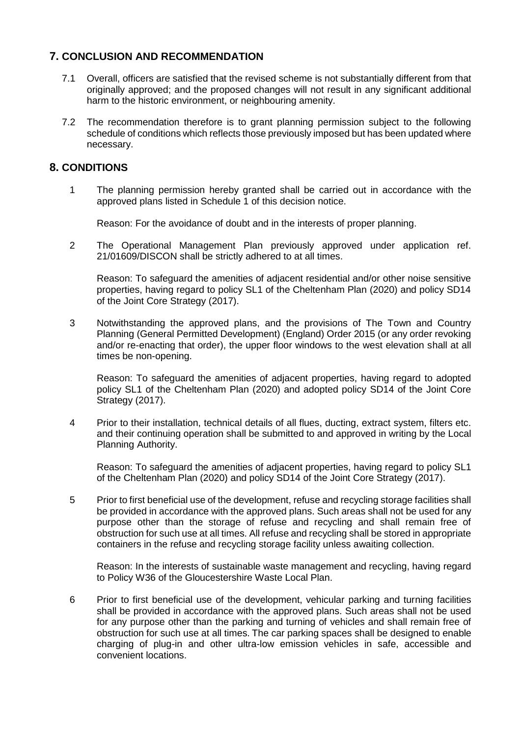# **7. CONCLUSION AND RECOMMENDATION**

- 7.1 Overall, officers are satisfied that the revised scheme is not substantially different from that originally approved; and the proposed changes will not result in any significant additional harm to the historic environment, or neighbouring amenity.
- 7.2 The recommendation therefore is to grant planning permission subject to the following schedule of conditions which reflects those previously imposed but has been updated where necessary.

# **8. CONDITIONS**

1 The planning permission hereby granted shall be carried out in accordance with the approved plans listed in Schedule 1 of this decision notice.

Reason: For the avoidance of doubt and in the interests of proper planning.

2 The Operational Management Plan previously approved under application ref. 21/01609/DISCON shall be strictly adhered to at all times.

Reason: To safeguard the amenities of adjacent residential and/or other noise sensitive properties, having regard to policy SL1 of the Cheltenham Plan (2020) and policy SD14 of the Joint Core Strategy (2017).

3 Notwithstanding the approved plans, and the provisions of The Town and Country Planning (General Permitted Development) (England) Order 2015 (or any order revoking and/or re-enacting that order), the upper floor windows to the west elevation shall at all times be non-opening.

Reason: To safeguard the amenities of adjacent properties, having regard to adopted policy SL1 of the Cheltenham Plan (2020) and adopted policy SD14 of the Joint Core Strategy (2017).

4 Prior to their installation, technical details of all flues, ducting, extract system, filters etc. and their continuing operation shall be submitted to and approved in writing by the Local Planning Authority.

Reason: To safeguard the amenities of adjacent properties, having regard to policy SL1 of the Cheltenham Plan (2020) and policy SD14 of the Joint Core Strategy (2017).

5 Prior to first beneficial use of the development, refuse and recycling storage facilities shall be provided in accordance with the approved plans. Such areas shall not be used for any purpose other than the storage of refuse and recycling and shall remain free of obstruction for such use at all times. All refuse and recycling shall be stored in appropriate containers in the refuse and recycling storage facility unless awaiting collection.

Reason: In the interests of sustainable waste management and recycling, having regard to Policy W36 of the Gloucestershire Waste Local Plan.

6 Prior to first beneficial use of the development, vehicular parking and turning facilities shall be provided in accordance with the approved plans. Such areas shall not be used for any purpose other than the parking and turning of vehicles and shall remain free of obstruction for such use at all times. The car parking spaces shall be designed to enable charging of plug-in and other ultra-low emission vehicles in safe, accessible and convenient locations.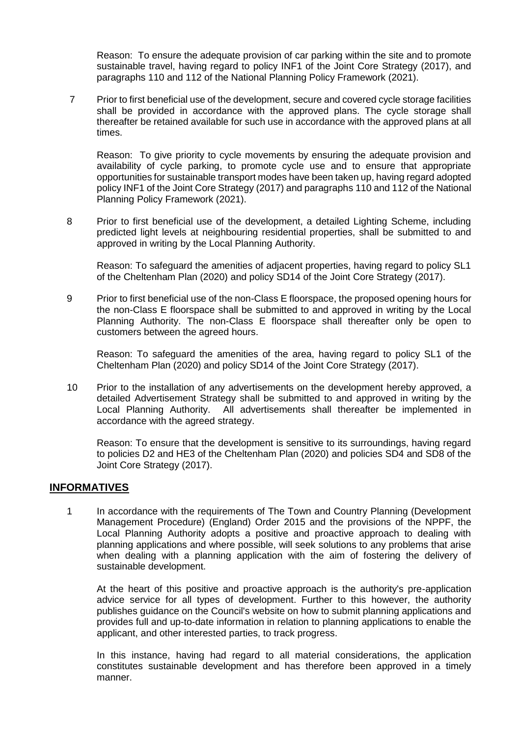Reason: To ensure the adequate provision of car parking within the site and to promote sustainable travel, having regard to policy INF1 of the Joint Core Strategy (2017), and paragraphs 110 and 112 of the National Planning Policy Framework (2021).

7 Prior to first beneficial use of the development, secure and covered cycle storage facilities shall be provided in accordance with the approved plans. The cycle storage shall thereafter be retained available for such use in accordance with the approved plans at all times.

Reason: To give priority to cycle movements by ensuring the adequate provision and availability of cycle parking, to promote cycle use and to ensure that appropriate opportunities for sustainable transport modes have been taken up, having regard adopted policy INF1 of the Joint Core Strategy (2017) and paragraphs 110 and 112 of the National Planning Policy Framework (2021).

8 Prior to first beneficial use of the development, a detailed Lighting Scheme, including predicted light levels at neighbouring residential properties, shall be submitted to and approved in writing by the Local Planning Authority.

Reason: To safeguard the amenities of adjacent properties, having regard to policy SL1 of the Cheltenham Plan (2020) and policy SD14 of the Joint Core Strategy (2017).

9 Prior to first beneficial use of the non-Class E floorspace, the proposed opening hours for the non-Class E floorspace shall be submitted to and approved in writing by the Local Planning Authority. The non-Class E floorspace shall thereafter only be open to customers between the agreed hours.

Reason: To safeguard the amenities of the area, having regard to policy SL1 of the Cheltenham Plan (2020) and policy SD14 of the Joint Core Strategy (2017).

10 Prior to the installation of any advertisements on the development hereby approved, a detailed Advertisement Strategy shall be submitted to and approved in writing by the Local Planning Authority. All advertisements shall thereafter be implemented in accordance with the agreed strategy.

Reason: To ensure that the development is sensitive to its surroundings, having regard to policies D2 and HE3 of the Cheltenham Plan (2020) and policies SD4 and SD8 of the Joint Core Strategy (2017).

## **INFORMATIVES**

1 In accordance with the requirements of The Town and Country Planning (Development Management Procedure) (England) Order 2015 and the provisions of the NPPF, the Local Planning Authority adopts a positive and proactive approach to dealing with planning applications and where possible, will seek solutions to any problems that arise when dealing with a planning application with the aim of fostering the delivery of sustainable development.

At the heart of this positive and proactive approach is the authority's pre-application advice service for all types of development. Further to this however, the authority publishes guidance on the Council's website on how to submit planning applications and provides full and up-to-date information in relation to planning applications to enable the applicant, and other interested parties, to track progress.

In this instance, having had regard to all material considerations, the application constitutes sustainable development and has therefore been approved in a timely manner.